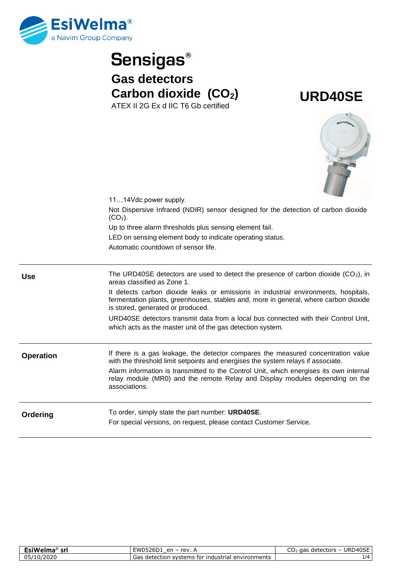

## **Sensigas® Gas detectors Carbon dioxide (CO2)** ATEX II 2G Ex d IIC T6 Gb certified

**URD40SE**



|                  | 1114Vdc power supply.                                                                                                                                                                                            |
|------------------|------------------------------------------------------------------------------------------------------------------------------------------------------------------------------------------------------------------|
|                  | Not Dispersive Infrared (NDIR) sensor designed for the detection of carbon dioxide<br>$(CO2)$ .                                                                                                                  |
|                  | Up to three alarm thresholds plus sensing element fail.                                                                                                                                                          |
|                  | LED on sensing element body to indicate operating status.                                                                                                                                                        |
|                  | Automatic countdown of sensor life.                                                                                                                                                                              |
| <b>Use</b>       | The URD40SE detectors are used to detect the presence of carbon dioxide $(CO2)$ , in<br>areas classified as Zone 1.                                                                                              |
|                  | It detects carbon dioxide leaks or emissions in industrial environments, hospitals,<br>fermentation plants, greenhouses, stables and, more in general, where carbon dioxide<br>is stored, generated or produced. |
|                  | URD40SE detectors transmit data from a local bus connected with their Control Unit,<br>which acts as the master unit of the gas detection system.                                                                |
| <b>Operation</b> | If there is a gas leakage, the detector compares the measured concentration value<br>with the threshold limit setpoints and energises the system relays if associate.                                            |
|                  | Alarm information is transmitted to the Control Unit, which energises its own internal<br>relay module (MR0) and the remote Relay and Display modules depending on the<br>associations.                          |
| Ordering         | To order, simply state the part number: URD40SE.                                                                                                                                                                 |
|                  | For special versions, on request, please contact Customer Service.                                                                                                                                               |

| EsiWelma® srl | EW0526D1 en – rev. $\prime$                            | $\scriptstyle\rm o$ aas detectors – URD40SE<br>しひノ |
|---------------|--------------------------------------------------------|----------------------------------------------------|
| 05/10/2020    | s detection systems for industrial environments<br>Gas | 1/4                                                |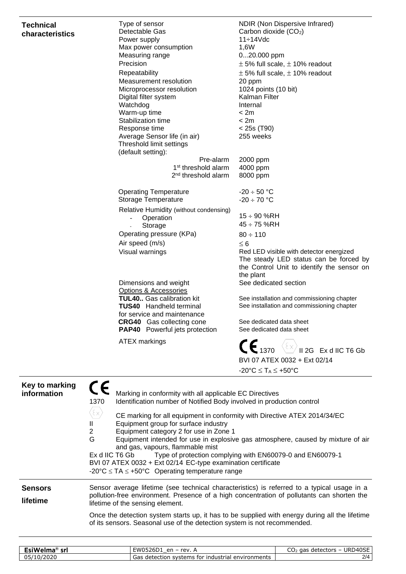## **Technical characteristics**

| Type of sensor                                                | NDIR (Non Dispersive Infrared)                                                                                                               |
|---------------------------------------------------------------|----------------------------------------------------------------------------------------------------------------------------------------------|
| Detectable Gas                                                | Carbon dioxide (CO <sub>2</sub> )                                                                                                            |
| Power supply                                                  | 11÷14Vdc                                                                                                                                     |
| Max power consumption                                         | 1,6W                                                                                                                                         |
| Measuring range                                               | 020.000 ppm                                                                                                                                  |
| Precision                                                     | $\pm$ 5% full scale, $\pm$ 10% readout                                                                                                       |
| Repeatability                                                 | $\pm$ 5% full scale, $\pm$ 10% readout                                                                                                       |
| Measurement resolution                                        | 20 ppm                                                                                                                                       |
| Microprocessor resolution                                     | 1024 points (10 bit)                                                                                                                         |
| Digital filter system                                         | Kalman Filter                                                                                                                                |
| Watchdog                                                      | Internal                                                                                                                                     |
| Warm-up time<br>Stabilization time                            | < 2m<br>< 2m                                                                                                                                 |
| Response time                                                 |                                                                                                                                              |
| Average Sensor life (in air)                                  | $< 25s$ (T90)<br>255 weeks                                                                                                                   |
| Threshold limit settings                                      |                                                                                                                                              |
| (default setting):                                            |                                                                                                                                              |
| Pre-alarm                                                     | 2000 ppm                                                                                                                                     |
| 1 <sup>st</sup> threshold alarm                               | 4000 ppm                                                                                                                                     |
| 2 <sup>nd</sup> threshold alarm                               | 8000 ppm                                                                                                                                     |
| <b>Operating Temperature</b>                                  | $-20 \div 50$ °C                                                                                                                             |
| <b>Storage Temperature</b>                                    | $-20 \div 70$ °C                                                                                                                             |
| Relative Humidity (without condensing)                        |                                                                                                                                              |
| Operation<br>$\overline{\phantom{0}}$                         | $15 \div 90$ %RH                                                                                                                             |
| Storage                                                       | 45 ÷ 75 %RH                                                                                                                                  |
| Operating pressure (KPa)                                      | $80 \div 110$                                                                                                                                |
| Air speed (m/s)                                               | $\leq 6$                                                                                                                                     |
| Visual warnings                                               | Red LED visible with detector energized<br>The steady LED status can be forced by<br>the Control Unit to identify the sensor on<br>the plant |
| Dimensions and weight<br>Options & Accessories                | See dedicated section                                                                                                                        |
| <b>TUL40</b> Gas calibration kit                              | See installation and commissioning chapter                                                                                                   |
| <b>TUS40</b> Handheld terminal<br>for service and maintenance | See installation and commissioning chapter                                                                                                   |
| <b>CRG40</b> Gas collecting cone                              | See dedicated data sheet                                                                                                                     |
| PAP40 Powerful jets protection                                | See dedicated data sheet                                                                                                                     |
| <b>ATEX markings</b>                                          | $\mathsf{CE}_{1370}$<br>Ex d IIC T6 Gb<br>II 2G                                                                                              |
|                                                               | BVI 07 ATEX 0032 + Ext 02/14                                                                                                                 |
|                                                               | $-20^{\circ}C \leq T_A \leq +50^{\circ}C$                                                                                                    |
|                                                               |                                                                                                                                              |

| Key to marking<br>information | Marking in conformity with all applicable EC Directives<br>Identification number of Notified Body involved in production control<br>1370<br>$\langle \epsilon \times \rangle$<br>CE marking for all equipment in conformity with Directive ATEX 2014/34/EC<br>Equipment group for surface industry<br>$\mathbf{H}$<br>$\overline{2}$<br>Equipment category 2 for use in Zone 1<br>G<br>Equipment intended for use in explosive gas atmosphere, caused by mixture of air<br>and gas, vapours, flammable mist<br>Ex d IIC T6 Gb Type of protection complying with EN60079-0 and EN60079-1<br>BVI 07 ATEX 0032 + Ext 02/14 EC-type examination certificate<br>-20°C $\leq$ TA $\leq$ +50°C Operating temperature range |
|-------------------------------|---------------------------------------------------------------------------------------------------------------------------------------------------------------------------------------------------------------------------------------------------------------------------------------------------------------------------------------------------------------------------------------------------------------------------------------------------------------------------------------------------------------------------------------------------------------------------------------------------------------------------------------------------------------------------------------------------------------------|
| <b>Sensors</b><br>lifetime    | Sensor average lifetime (see technical characteristics) is referred to a typical usage in a<br>pollution-free environment. Presence of a high concentration of pollutants can shorten the<br>lifetime of the sensing element.                                                                                                                                                                                                                                                                                                                                                                                                                                                                                       |
|                               | Once the detection system starts up, it has to be supplied with energy during all the lifetime<br>of its sensors. Seasonal use of the detection system is not recommended.                                                                                                                                                                                                                                                                                                                                                                                                                                                                                                                                          |

| siWelm <sub>a</sub><br>srl                                  | -W0526D<br><b>rev</b><br>en<br>∍∠bD '                             | <b>JRD</b><br>D40SE<br>aas<br>detectors<br>CU2 |
|-------------------------------------------------------------|-------------------------------------------------------------------|------------------------------------------------|
| $\sim$ $\sim$ $\sim$ $\sim$<br>ኅ5.<br>$\mathbf{U}$<br>72020 | aas.<br>environments<br>systems<br>tor<br>industrial<br>detection | 214                                            |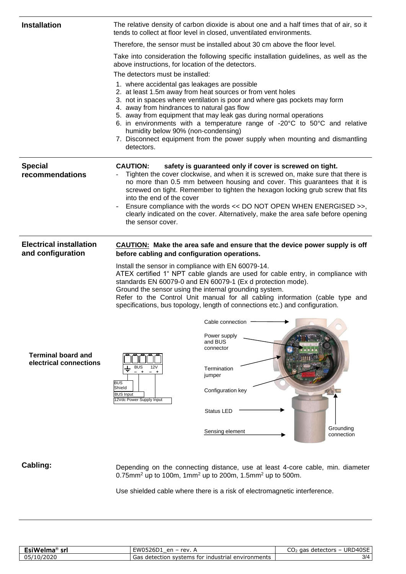| The relative density of carbon dioxide is about one and a half times that of air, so it<br>tends to collect at floor level in closed, unventilated environments.                                                                                                                                                                                                  |                                                                                                                                                                                                                                                                                                                                                                                                                                                                                                                                                                                                                                                                                                                                                                                                                                                                                                  |
|-------------------------------------------------------------------------------------------------------------------------------------------------------------------------------------------------------------------------------------------------------------------------------------------------------------------------------------------------------------------|--------------------------------------------------------------------------------------------------------------------------------------------------------------------------------------------------------------------------------------------------------------------------------------------------------------------------------------------------------------------------------------------------------------------------------------------------------------------------------------------------------------------------------------------------------------------------------------------------------------------------------------------------------------------------------------------------------------------------------------------------------------------------------------------------------------------------------------------------------------------------------------------------|
| Therefore, the sensor must be installed about 30 cm above the floor level.                                                                                                                                                                                                                                                                                        |                                                                                                                                                                                                                                                                                                                                                                                                                                                                                                                                                                                                                                                                                                                                                                                                                                                                                                  |
| above instructions, for location of the detectors.                                                                                                                                                                                                                                                                                                                |                                                                                                                                                                                                                                                                                                                                                                                                                                                                                                                                                                                                                                                                                                                                                                                                                                                                                                  |
| 1. where accidental gas leakages are possible<br>2. at least 1.5m away from heat sources or from vent holes<br>3. not in spaces where ventilation is poor and where gas pockets may form<br>4. away from hindrances to natural gas flow<br>5. away from equipment that may leak gas during normal operations<br>humidity below 90% (non-condensing)<br>detectors. |                                                                                                                                                                                                                                                                                                                                                                                                                                                                                                                                                                                                                                                                                                                                                                                                                                                                                                  |
| <b>CAUTION:</b><br>safety is guaranteed only if cover is screwed on tight.<br>into the end of the cover<br>the sensor cover.                                                                                                                                                                                                                                      |                                                                                                                                                                                                                                                                                                                                                                                                                                                                                                                                                                                                                                                                                                                                                                                                                                                                                                  |
| before cabling and configuration operations.                                                                                                                                                                                                                                                                                                                      |                                                                                                                                                                                                                                                                                                                                                                                                                                                                                                                                                                                                                                                                                                                                                                                                                                                                                                  |
| Install the sensor in compliance with EN 60079-14.<br>standards EN 60079-0 and EN 60079-1 (Ex d protection mode).<br>Ground the sensor using the internal grounding system.                                                                                                                                                                                       |                                                                                                                                                                                                                                                                                                                                                                                                                                                                                                                                                                                                                                                                                                                                                                                                                                                                                                  |
| Refer to the Control Unit manual for all cabling information (cable type and<br>specifications, bus topology, length of connections etc.) and configuration.                                                                                                                                                                                                      |                                                                                                                                                                                                                                                                                                                                                                                                                                                                                                                                                                                                                                                                                                                                                                                                                                                                                                  |
|                                                                                                                                                                                                                                                                                                                                                                   | Take into consideration the following specific installation guidelines, as well as the<br>The detectors must be installed:<br>6. in environments with a temperature range of -20 $^{\circ}$ C to 50 $^{\circ}$ C and relative<br>7. Disconnect equipment from the power supply when mounting and dismantling<br>Tighten the cover clockwise, and when it is screwed on, make sure that there is<br>no more than 0.5 mm between housing and cover. This guarantees that it is<br>screwed on tight. Remember to tighten the hexagon locking grub screw that fits<br>Ensure compliance with the words << DO NOT OPEN WHEN ENERGISED >>,<br>clearly indicated on the cover. Alternatively, make the area safe before opening<br><b>CAUTION:</b> Make the area safe and ensure that the device power supply is off<br>ATEX certified 1" NPT cable glands are used for cable entry, in compliance with |

## **Cabling:**

Depending on the connecting distance, use at least 4-core cable, min. diameter 0.75mm<sup>2</sup> up to 100m, 1mm<sup>2</sup> up to 200m, 1.5mm<sup>2</sup> up to 500m.

Use shielded cable where there is a risk of electromagnetic interference.

| $\sim$ $\cdots$<br>e vi<br>na<br>siwe<br>ы<br>$-1$ | $- - - - -$<br>rev.<br>$\mathsf{a}$<br>$W^{++}$<br>$\overline{\phantom{0}}$<br>∟סי | URD40SE<br>gas<br>detectors<br>CU2 |
|----------------------------------------------------|------------------------------------------------------------------------------------|------------------------------------|
| /2020<br>05/<br>$\cup$<br>.                        | industrial environments :<br>tor<br>systems<br>$\sim$<br>detection<br>uds          | 3/4                                |